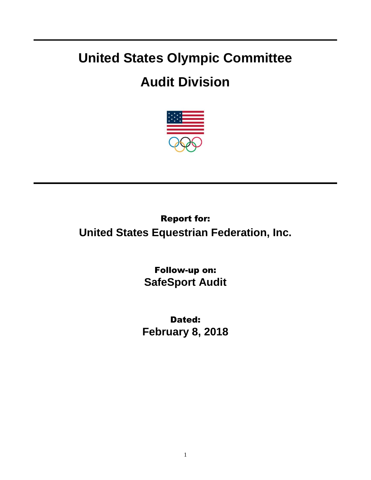## **United States Olympic Committee**

## **Audit Division**



Report for: **United States Equestrian Federation, Inc.**

> Follow-up on: **SafeSport Audit**

Dated: **February 8, 2018**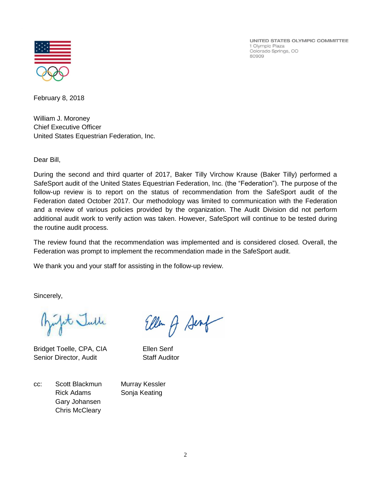UNITED STATES OLYMPIC COMMITTEE 1 Olympic Plaza Colorado Springs, CO 80909



February 8, 2018

William J. Moroney Chief Executive Officer United States Equestrian Federation, Inc.

Dear Bill,

During the second and third quarter of 2017, Baker Tilly Virchow Krause (Baker Tilly) performed a SafeSport audit of the United States Equestrian Federation, Inc. (the "Federation"). The purpose of the follow-up review is to report on the status of recommendation from the SafeSport audit of the Federation dated October 2017. Our methodology was limited to communication with the Federation and a review of various policies provided by the organization. The Audit Division did not perform additional audit work to verify action was taken. However, SafeSport will continue to be tested during the routine audit process.

The review found that the recommendation was implemented and is considered closed. Overall, the Federation was prompt to implement the recommendation made in the SafeSport audit.

We thank you and your staff for assisting in the follow-up review.

Sincerely,

fit Julle

Bridget Toelle, CPA, CIA Ellen Senf Senior Director, Audit Staff Auditor

Ellen A Senf

cc: Scott Blackmun Murray Kessler Rick Adams Sonja Keating Gary Johansen Chris McCleary